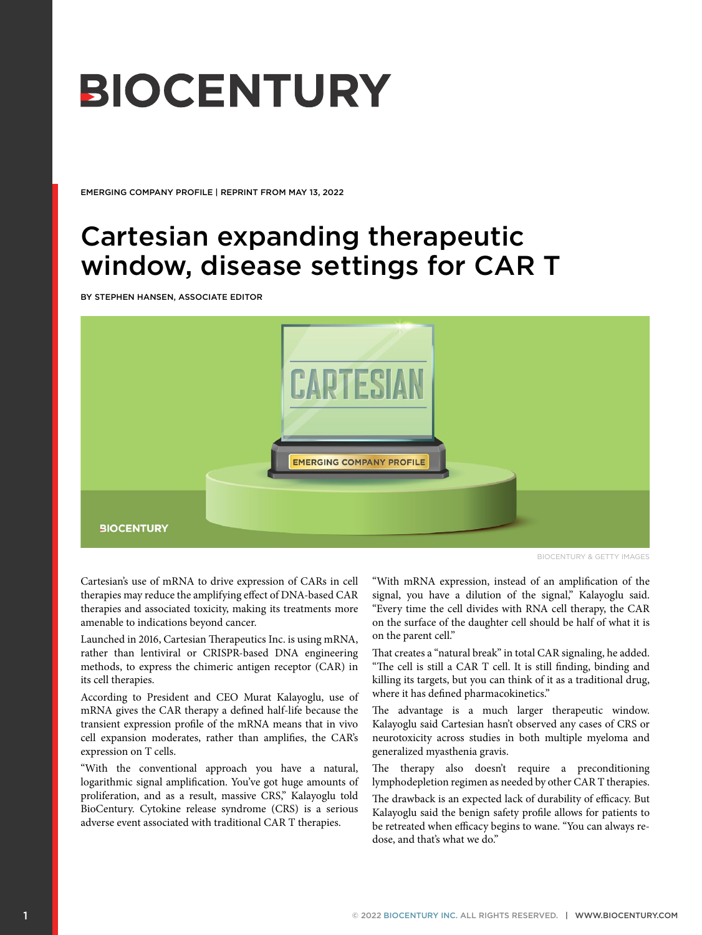# **BIOCENTURY**

EMERGING COMPANY PROFILE | REPRINT FROM MAY 13, 2022

# Cartesian expanding therapeutic window, disease settings for CAR T

BY STEPHEN HANSEN, ASSOCIATE EDITOR



BIOCENTURY & GETTY IMAGES

Cartesian's use of mRNA to drive expression of CARs in cell therapies may reduce the amplifying effect of DNA-based CAR therapies and associated toxicity, making its treatments more amenable to indications beyond cancer.

Launched in 2016, Cartesian Therapeutics Inc. is using mRNA, rather than lentiviral or CRISPR-based DNA engineering methods, to express the chimeric antigen receptor (CAR) in its cell therapies.

According to President and CEO Murat Kalayoglu, use of mRNA gives the CAR therapy a defined half-life because the transient expression profile of the mRNA means that in vivo cell expansion moderates, rather than amplifies, the CAR's expression on T cells.

"With the conventional approach you have a natural, logarithmic signal amplification. You've got huge amounts of proliferation, and as a result, massive CRS," Kalayoglu told BioCentury. Cytokine release syndrome (CRS) is a serious adverse event associated with traditional CAR T therapies.

"With mRNA expression, instead of an amplification of the signal, you have a dilution of the signal," Kalayoglu said. "Every time the cell divides with RNA cell therapy, the CAR on the surface of the daughter cell should be half of what it is on the parent cell."

That creates a "natural break" in total CAR signaling, he added. "The cell is still a CAR T cell. It is still finding, binding and killing its targets, but you can think of it as a traditional drug, where it has defined pharmacokinetics."

The advantage is a much larger therapeutic window. Kalayoglu said Cartesian hasn't observed any cases of CRS or neurotoxicity across studies in both multiple myeloma and generalized myasthenia gravis.

The therapy also doesn't require a preconditioning lymphodepletion regimen as needed by other CAR T therapies.

The drawback is an expected lack of durability of efficacy. But Kalayoglu said the benign safety profile allows for patients to be retreated when efficacy begins to wane. "You can always redose, and that's what we do."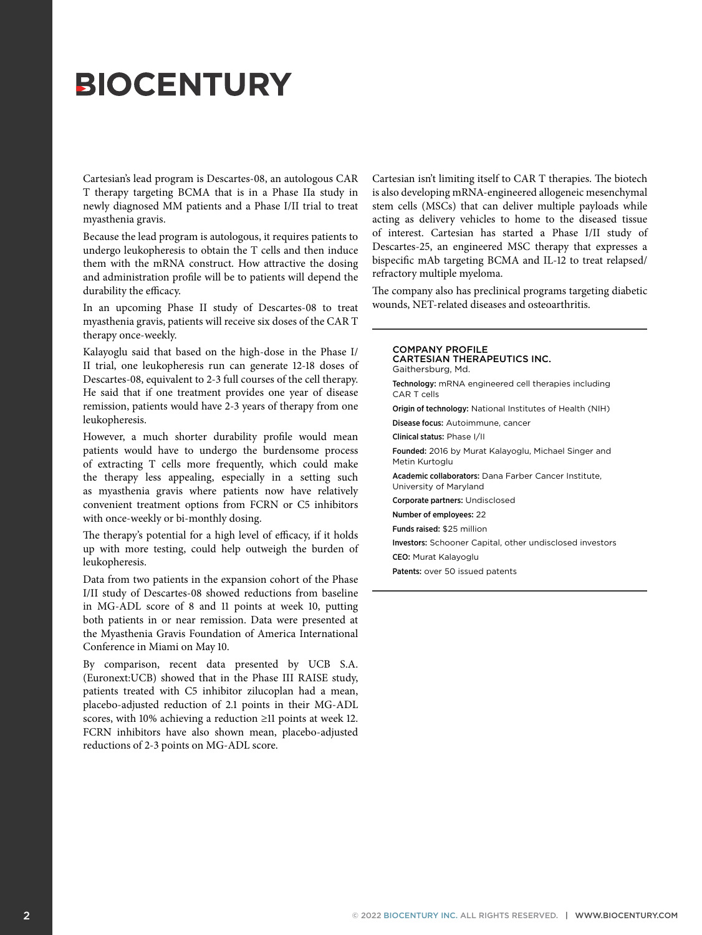# **BIOCENTURY**

Cartesian's lead program is Descartes-08, an autologous CAR T therapy targeting BCMA that is in a Phase IIa study in newly diagnosed MM patients and a Phase I/II trial to treat myasthenia gravis.

Because the lead program is autologous, it requires patients to undergo leukopheresis to obtain the T cells and then induce them with the mRNA construct. How attractive the dosing and administration profile will be to patients will depend the durability the efficacy.

In an upcoming Phase II study of Descartes-08 to treat myasthenia gravis, patients will receive six doses of the CAR T therapy once-weekly.

Kalayoglu said that based on the high-dose in the Phase I/ II trial, one leukopheresis run can generate 12-18 doses of Descartes-08, equivalent to 2-3 full courses of the cell therapy. He said that if one treatment provides one year of disease remission, patients would have 2-3 years of therapy from one leukopheresis.

However, a much shorter durability profile would mean patients would have to undergo the burdensome process of extracting T cells more frequently, which could make the therapy less appealing, especially in a setting such as myasthenia gravis where patients now have relatively convenient treatment options from FCRN or C5 inhibitors with once-weekly or bi-monthly dosing.

The therapy's potential for a high level of efficacy, if it holds up with more testing, could help outweigh the burden of leukopheresis.

Data from two patients in the expansion cohort of the Phase I/II study of Descartes-08 showed reductions from baseline in MG-ADL score of 8 and 11 points at week 10, putting both patients in or near remission. Data were presented at the Myasthenia Gravis Foundation of America International Conference in Miami on May 10.

By comparison, recent data presented by UCB S.A. (Euronext:UCB) showed that in the Phase III RAISE study, patients treated with C5 inhibitor zilucoplan had a mean, placebo-adjusted reduction of 2.1 points in their MG-ADL scores, with 10% achieving a reduction ≥11 points at week 12. FCRN inhibitors have also shown mean, placebo-adjusted reductions of 2-3 points on MG-ADL score.

Cartesian isn't limiting itself to CAR T therapies. The biotech is also developing mRNA-engineered allogeneic mesenchymal stem cells (MSCs) that can deliver multiple payloads while acting as delivery vehicles to home to the diseased tissue of interest. Cartesian has started a Phase I/II study of Descartes-25, an engineered MSC therapy that expresses a bispecific mAb targeting BCMA and IL-12 to treat relapsed/ refractory multiple myeloma.

The company also has preclinical programs targeting diabetic wounds, NET-related diseases and osteoarthritis.

## COMPANY PROFILE CARTESIAN THERAPEUTICS INC. Gaithersburg, Md.

Technology: mRNA engineered cell therapies including CAR T cells

Origin of technology: National Institutes of Health (NIH)

Disease focus: Autoimmune, cancer Clinical status: Phase I/II

Founded: 2016 by Murat Kalayoglu, Michael Singer and

Metin Kurtoglu

Academic collaborators: Dana Farber Cancer Institute, University of Maryland

Corporate partners: Undisclosed

Number of employees: 22

Funds raised: \$25 million

Investors: Schooner Capital, other undisclosed investors

CEO: Murat Kalayoglu

Patents: over 50 issued patents